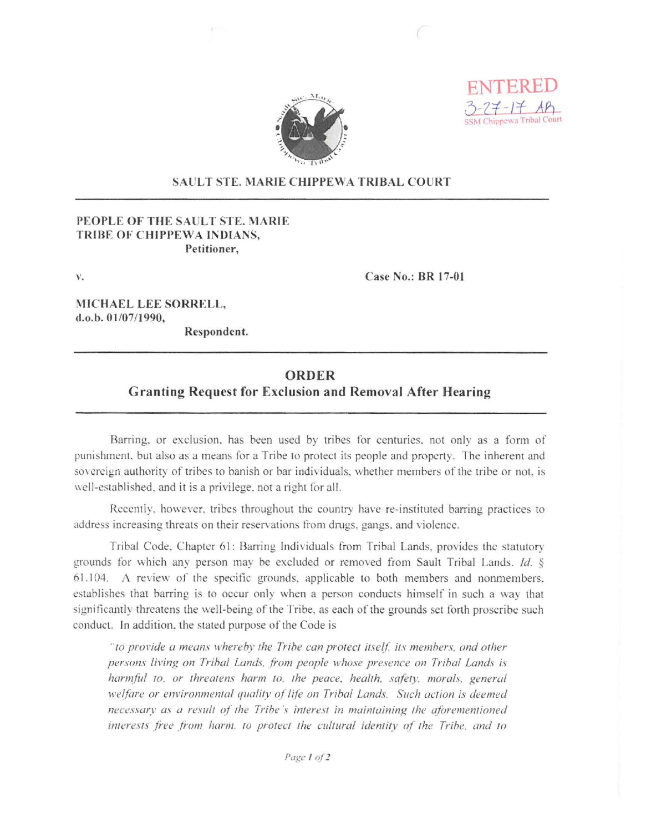



## **SAULT STE. MARIE CHIPPEWA TRIBAL COURT**

## PEOPLE OF THE SAULT STE. MARIE TRIBE OF CHIPPEWA INDIANS. Petitioner,

 $\mathbf{V}_{\star}$ 

Case No.: BR 17-01

MICHAEL LEE SORRELL, d.o.b. 01/07/1990,

Respondent.

## **ORDER**

## **Granting Request for Exclusion and Removal After Hearing**

Barring, or exclusion, has been used by tribes for centuries, not only as a form of punishment, but also as a means for a Tribe to protect its people and property. The inherent and sovereign authority of tribes to banish or bar individuals, whether members of the tribe or not, is well-established, and it is a privilege, not a right for all.

Recently, however, tribes throughout the country have re-instituted barring practices to address increasing threats on their reservations from drugs, gangs, and violence.

Tribal Code, Chapter 61: Barring Individuals from Tribal Lands, provides the statutory grounds for which any person may be excluded or removed from Sault Tribal Lands. Id. § 61.104. A review of the specific grounds, applicable to both members and nonmembers. establishes that barring is to occur only when a person conducts himself in such a way that significantly threatens the well-being of the Tribe, as each of the grounds set forth proscribe such conduct. In addition, the stated purpose of the Code is

"to provide a means whereby the Tribe can protect itself, its members, and other persons living on Tribal Lands, from people whose presence on Tribal Lands is harmful to, or threatens harm to, the peace, health, safety, morals, general welfare or environmental quality of life on Tribal Lands. Such action is deemed necessary as a result of the Tribe's interest in maintaining the aforementioned interests free from harm, to protect the cultural identity of the Tribe, and to